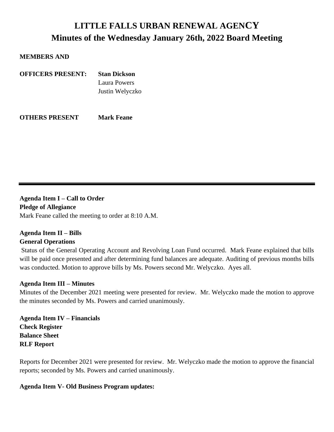# **LITTLE FALLS URBAN RENEWAL AGENCY Minutes of the Wednesday January 26th, 2022 Board Meeting**

#### **MEMBERS AND**

| <b>OFFICERS PRESENT:</b> | <b>Stan Dickson</b> |
|--------------------------|---------------------|
|                          | Laura Powers        |
|                          | Justin Welyczko     |
|                          |                     |
|                          |                     |

**OTHERS PRESENT Mark Feane**

**Agenda Item I** *–* **Call to Order Pledge of Allegiance** Mark Feane called the meeting to order at 8:10 A.M.

# **Agenda Item II – Bills**

## **General Operations**

Status of the General Operating Account and Revolving Loan Fund occurred. Mark Feane explained that bills will be paid once presented and after determining fund balances are adequate. Auditing of previous months bills was conducted. Motion to approve bills by Ms. Powers second Mr. Welyczko. Ayes all.

## **Agenda Item III – Minutes**

Minutes of the December 2021 meeting were presented for review. Mr. Welyczko made the motion to approve the minutes seconded by Ms. Powers and carried unanimously.

**Agenda Item IV – Financials Check Register Balance Sheet RLF Report**

Reports for December 2021 were presented for review. Mr. Welyczko made the motion to approve the financial reports; seconded by Ms. Powers and carried unanimously.

## **Agenda Item V- Old Business Program updates:**